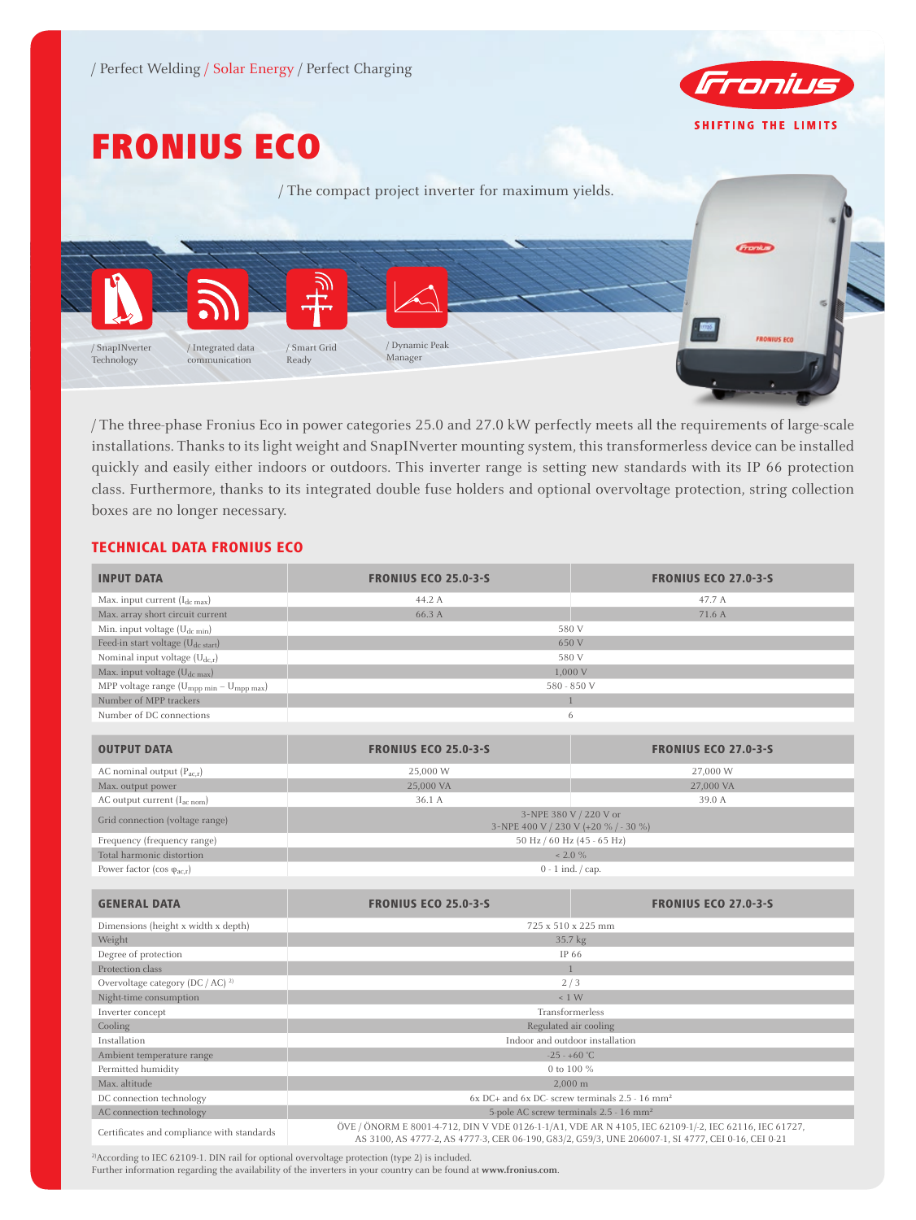

# FRONIUS ECO



/ The three-phase Fronius Eco in power categories 25.0 and 27.0 kW perfectly meets all the requirements of large-scale installations. Thanks to its light weight and SnapINverter mounting system, this transformerless device can be installed quickly and easily either indoors or outdoors. This inverter range is setting new standards with its IP 66 protection class. Furthermore, thanks to its integrated double fuse holders and optional overvoltage protection, string collection boxes are no longer necessary.

## TECHNICAL DATA FRONIUS ECO

| <b>INPUT DATA</b>                                                | <b>FRONIUS ECO 25.0-3-S</b>                                                                                                                                                                                 | <b>FRONIUS ECO 27.0-3-5</b> |  |
|------------------------------------------------------------------|-------------------------------------------------------------------------------------------------------------------------------------------------------------------------------------------------------------|-----------------------------|--|
| Max. input current $(I_{dc\ max})$                               | 44.2 A                                                                                                                                                                                                      | 47.7 A                      |  |
| Max. array short circuit current                                 | 66.3 A                                                                                                                                                                                                      | 71.6 A                      |  |
| Min. input voltage $(U_{dc,min})$                                |                                                                                                                                                                                                             | 580 V                       |  |
| Feed-in start voltage (U <sub>dc start</sub> )                   | 650 V                                                                                                                                                                                                       |                             |  |
| Nominal input voltage (U <sub>dc,r</sub> )                       | 580 V                                                                                                                                                                                                       |                             |  |
| Max. input voltage (U <sub>dc max</sub> )                        | 1,000 V                                                                                                                                                                                                     |                             |  |
| MPP voltage range (U <sub>mpp min</sub> - U <sub>mpp max</sub> ) | 580 - 850 V                                                                                                                                                                                                 |                             |  |
| Number of MPP trackers                                           | $\overline{1}$                                                                                                                                                                                              |                             |  |
| Number of DC connections                                         | 6                                                                                                                                                                                                           |                             |  |
|                                                                  |                                                                                                                                                                                                             |                             |  |
| <b>OUTPUT DATA</b>                                               | <b>FRONIUS ECO 25.0-3-S</b>                                                                                                                                                                                 | <b>FRONIUS ECO 27.0-3-5</b> |  |
| AC nominal output $(P_{acx})$                                    | 25,000 W                                                                                                                                                                                                    | 27,000 W                    |  |
| Max. output power                                                | 25,000 VA                                                                                                                                                                                                   | 27,000 VA                   |  |
| AC output current (I <sub>ac nom</sub> )                         | 36.1 A                                                                                                                                                                                                      | 39.0 A                      |  |
| Grid connection (voltage range)                                  | 3~NPE 380 V / 220 V or<br>3~NPE 400 V / 230 V (+20 % / - 30 %)                                                                                                                                              |                             |  |
| Frequency (frequency range)                                      | 50 Hz / 60 Hz (45 - 65 Hz)                                                                                                                                                                                  |                             |  |
| Total harmonic distortion                                        | $< 2.0 \%$                                                                                                                                                                                                  |                             |  |
| Power factor (cos $\varphi_{ac,r}$ )                             | $0 - 1$ ind. $\frac{\pi}{2}$                                                                                                                                                                                |                             |  |
|                                                                  |                                                                                                                                                                                                             |                             |  |
| <b>GENERAL DATA</b>                                              | <b>FRONIUS ECO 25.0-3-5</b>                                                                                                                                                                                 | <b>FRONIUS ECO 27.0-3-5</b> |  |
| Dimensions (height x width x depth)                              | 725 x 510 x 225 mm                                                                                                                                                                                          |                             |  |
| Weight                                                           | 35.7 kg                                                                                                                                                                                                     |                             |  |
| Degree of protection                                             | IP 66                                                                                                                                                                                                       |                             |  |
| Protection class                                                 | $\mathbf{1}$                                                                                                                                                                                                |                             |  |
| Overvoltage category (DC / AC) <sup>2)</sup>                     | 2/3                                                                                                                                                                                                         |                             |  |
| Night-time consumption                                           | $\leq 1$ W                                                                                                                                                                                                  |                             |  |
| Inverter concept                                                 | Transformerless                                                                                                                                                                                             |                             |  |
| Cooling                                                          | Regulated air cooling                                                                                                                                                                                       |                             |  |
| Installation                                                     | Indoor and outdoor installation                                                                                                                                                                             |                             |  |
| Ambient temperature range                                        | $-25 - +60$ °C                                                                                                                                                                                              |                             |  |
| Permitted humidity                                               | 0 to 100 %                                                                                                                                                                                                  |                             |  |
| Max. altitude                                                    | 2.000 m                                                                                                                                                                                                     |                             |  |
| DC connection technology                                         | 6x DC+ and 6x DC- screw terminals 2.5 - 16 mm <sup>2</sup>                                                                                                                                                  |                             |  |
| AC connection technology                                         | 5-pole AC screw terminals 2.5 - 16 mm <sup>2</sup>                                                                                                                                                          |                             |  |
| Certificates and compliance with standards                       | ÖVE / ÖNORM E 8001-4-712, DIN V VDE 0126-1-1/A1, VDE AR N 4105, IEC 62109-1/-2, IEC 62116, IEC 61727,<br>AS 3100, AS 4777-2, AS 4777-3, CER 06-190, G83/2, G59/3, UNE 206007-1, SI 4777, CEI 0-16, CEI 0-21 |                             |  |

<sup>2)</sup>According to IEC 62109-1. DIN rail for optional overvoltage protection (type 2) is included. Further information regarding the availability of the inverters in your country can be found at **www.fronius.com**.